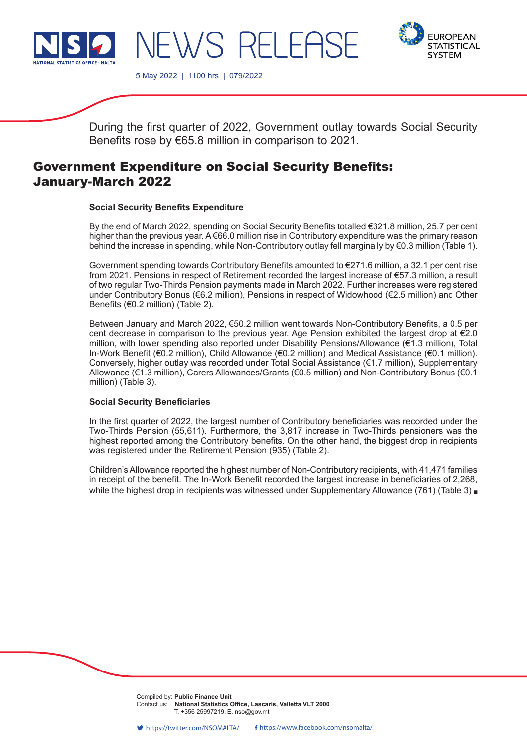



5 May 2022 | 1100 hrs | 079/2022

 $\sqrt{S}$  RFI FF

During the first quarter of 2022, Government outlay towards Social Security Benefits rose by €65.8 million in comparison to 2021.

# Government Expenditure on Social Security Benefits: January-March 2022

## **Social Security Benefits Expenditure**

By the end of March 2022, spending on Social Security Benefits totalled €321.8 million, 25.7 per cent higher than the previous year. A €66.0 million rise in Contributory expenditure was the primary reason behind the increase in spending, while Non-Contributory outlay fell marginally by €0.3 million (Table 1).

Government spending towards Contributory Benefits amounted to €271.6 million, a 32.1 per cent rise from 2021. Pensions in respect of Retirement recorded the largest increase of €57.3 million, a result of two regular Two-Thirds Pension payments made in March 2022. Further increases were registered under Contributory Bonus (€6.2 million), Pensions in respect of Widowhood (€2.5 million) and Other Benefits (€0.2 million) (Table 2).

Between January and March 2022, €50.2 million went towards Non-Contributory Benefits, a 0.5 per cent decrease in comparison to the previous year. Age Pension exhibited the largest drop at €2.0 million, with lower spending also reported under Disability Pensions/Allowance (€1.3 million), Total In-Work Benefit (€0.2 million), Child Allowance (€0.2 million) and Medical Assistance (€0.1 million). Conversely, higher outlay was recorded under Total Social Assistance (€1.7 million), Supplementary Allowance (€1.3 million), Carers Allowances/Grants (€0.5 million) and Non-Contributory Bonus (€0.1 million) (Table 3).

#### **Social Security Beneficiaries**

In the first quarter of 2022, the largest number of Contributory beneficiaries was recorded under the Two-Thirds Pension (55,611). Furthermore, the 3,817 increase in Two-Thirds pensioners was the highest reported among the Contributory benefits. On the other hand, the biggest drop in recipients was registered under the Retirement Pension (935) (Table 2).

Children's Allowance reported the highest number of Non-Contributory recipients, with 41,471 families in receipt of the benefit. The In-Work Benefit recorded the largest increase in beneficiaries of 2,268, while the highest drop in recipients was witnessed under Supplementary Allowance (761) (Table 3)

> Compiled by: Public Finance Unit **Company** from this release. **Contact us: National Statistics Office, Lascaris, Valletta VLT 2000**  $\sum_{i=1}^{N}$   $\sum_{i=1}^{N}$   $\sum_{i=1}^{N}$   $\sum_{i=1}^{N}$   $\sum_{i=1}^{N}$   $\sum_{i=1}^{N}$   $\sum_{i=1}^{N}$   $\sum_{i=1}^{N}$   $\sum_{i=1}^{N}$   $\sum_{i=1}^{N}$   $\sum_{i=1}^{N}$   $\sum_{i=1}^{N}$   $\sum_{i=1}^{N}$   $\sum_{i=1}^{N}$   $\sum_{i=1}^{N}$   $\sum_{i=1}^{N}$   $\sum_{i=1}^{N}$  T. +356 25997219, E. nso@gov.mt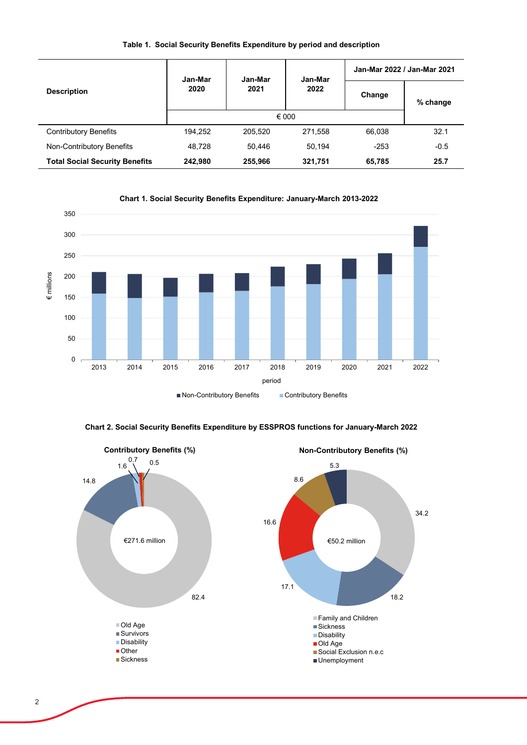|  |  |  |  |  |  | Table 1. Social Security Benefits Expenditure by period and description |  |
|--|--|--|--|--|--|-------------------------------------------------------------------------|--|
|--|--|--|--|--|--|-------------------------------------------------------------------------|--|

|                                       | Jan-Mar | Jan-Mar        | Jan-Mar | Jan-Mar 2022 / Jan-Mar 2021 |          |  |
|---------------------------------------|---------|----------------|---------|-----------------------------|----------|--|
| <b>Description</b>                    | 2020    | 2021           | 2022    | Change                      | % change |  |
|                                       |         | $\epsilon$ 000 |         |                             |          |  |
| Contributory Benefits                 | 194.252 | 205,520        | 271.558 | 66,038                      | 32.1     |  |
| Non-Contributory Benefits             | 48.728  | 50.446         | 50.194  | $-253$                      | $-0.5$   |  |
| <b>Total Social Security Benefits</b> | 242,980 | 255,966        | 321,751 | 65,785                      | 25.7     |  |





**Chart 2. Social Security Benefits Expenditure by ESSPROS functions for January-March 2022**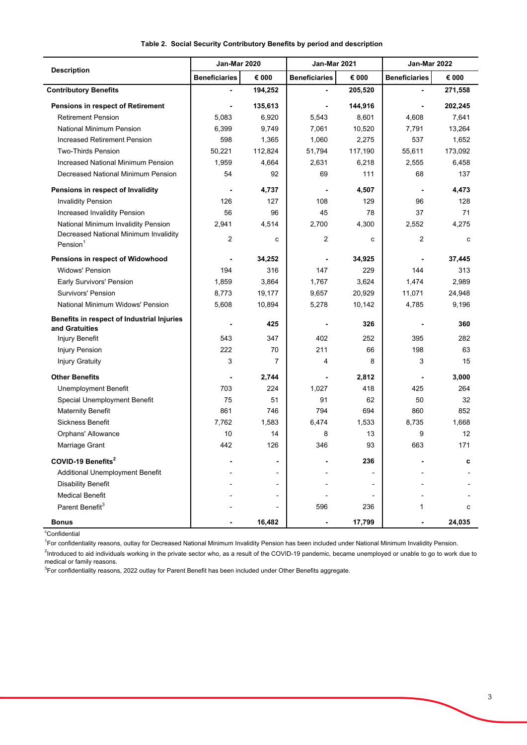|                                                               | Jan-Mar 2020         |         | Jan-Mar 2021         |         | Jan-Mar 2022         |         |
|---------------------------------------------------------------|----------------------|---------|----------------------|---------|----------------------|---------|
| <b>Description</b>                                            | <b>Beneficiaries</b> | € 000   | <b>Beneficiaries</b> | € 000   | <b>Beneficiaries</b> | € 000   |
| <b>Contributory Benefits</b>                                  |                      | 194,252 |                      | 205,520 |                      | 271,558 |
| Pensions in respect of Retirement                             |                      | 135,613 |                      | 144,916 |                      | 202,245 |
| <b>Retirement Pension</b>                                     | 5,083                | 6,920   | 5,543                | 8,601   | 4,608                | 7,641   |
| National Minimum Pension                                      | 6,399                | 9,749   | 7,061                | 10,520  | 7,791                | 13,264  |
| Increased Retirement Pension                                  | 598                  | 1,365   | 1,060                | 2,275   | 537                  | 1,652   |
| <b>Two-Thirds Pension</b>                                     | 50,221               | 112,824 | 51,794               | 117,190 | 55,611               | 173,092 |
| Increased National Minimum Pension                            | 1,959                | 4,664   | 2,631                | 6,218   | 2,555                | 6,458   |
| Decreased National Minimum Pension                            | 54                   | 92      | 69                   | 111     | 68                   | 137     |
| Pensions in respect of Invalidity                             |                      | 4,737   |                      | 4,507   | $\blacksquare$       | 4,473   |
| <b>Invalidity Pension</b>                                     | 126                  | 127     | 108                  | 129     | 96                   | 128     |
| Increased Invalidity Pension                                  | 56                   | 96      | 45                   | 78      | 37                   | 71      |
| National Minimum Invalidity Pension                           | 2,941                | 4,514   | 2,700                | 4,300   | 2,552                | 4,275   |
| Decreased National Minimum Invalidity<br>Pension <sup>1</sup> | 2                    | C       | 2                    | c       | 2                    | c       |
| Pensions in respect of Widowhood                              |                      | 34,252  |                      | 34,925  | ٠                    | 37,445  |
| <b>Widows' Pension</b>                                        | 194                  | 316     | 147                  | 229     | 144                  | 313     |
| <b>Early Survivors' Pension</b>                               | 1,859                | 3,864   | 1,767                | 3,624   | 1,474                | 2,989   |
| Survivors' Pension                                            | 8,773                | 19,177  | 9,657                | 20,929  | 11,071               | 24,948  |
| National Minimum Widows' Pension                              | 5,608                | 10,894  | 5,278                | 10,142  | 4,785                | 9,196   |
| Benefits in respect of Industrial Injuries<br>and Gratuities  |                      | 425     |                      | 326     |                      | 360     |
| Injury Benefit                                                | 543                  | 347     | 402                  | 252     | 395                  | 282     |
| <b>Injury Pension</b>                                         | 222                  | 70      | 211                  | 66      | 198                  | 63      |
| <b>Injury Gratuity</b>                                        | 3                    | 7       | 4                    | 8       | 3                    | 15      |
| <b>Other Benefits</b>                                         |                      | 2,744   |                      | 2,812   |                      | 3,000   |
| <b>Unemployment Benefit</b>                                   | 703                  | 224     | 1,027                | 418     | 425                  | 264     |
| Special Unemployment Benefit                                  | 75                   | 51      | 91                   | 62      | 50                   | 32      |
| <b>Maternity Benefit</b>                                      | 861                  | 746     | 794                  | 694     | 860                  | 852     |
| <b>Sickness Benefit</b>                                       | 7,762                | 1,583   | 6,474                | 1,533   | 8,735                | 1,668   |
| Orphans' Allowance                                            | 10                   | 14      | 8                    | 13      | 9                    | 12      |
| Marriage Grant                                                | 442                  | 126     | 346                  | 93      | 663                  | 171     |
| COVID-19 Benefits <sup>2</sup>                                |                      |         |                      | 236     |                      | c       |
| <b>Additional Unemployment Benefit</b>                        |                      |         |                      |         |                      |         |
| <b>Disability Benefit</b>                                     |                      |         |                      |         |                      |         |
| <b>Medical Benefit</b>                                        |                      |         |                      |         |                      |         |
| Parent Benefit <sup>3</sup>                                   |                      |         | 596                  | 236     | 1                    | с       |
| <b>Bonus</b>                                                  |                      | 16,482  |                      | 17,799  |                      | 24,035  |

### **Table 2. Social Security Contributory Benefits by period and description**

<sup>c</sup>Confidential

<sup>1</sup>For confidentiality reasons, outlay for Decreased National Minimum Invalidity Pension has been included under National Minimum Invalidity Pension.

<sup>2</sup>Introduced to aid individuals working in the private sector who, as a result of the COVID-19 pandemic, became unemployed or unable to go to work due to medical or family reasons.

 $^3$ For confidentiality reasons, 2022 outlay for Parent Benefit has been included under Other Benefits aggregate.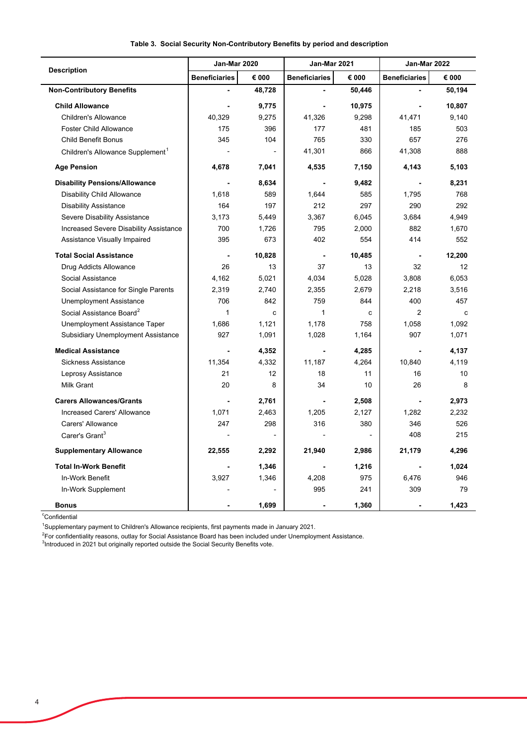|                                              | <b>Jan-Mar 2020</b>  |        | <b>Jan-Mar 2021</b>  |        | Jan-Mar 2022         |        |
|----------------------------------------------|----------------------|--------|----------------------|--------|----------------------|--------|
| <b>Description</b>                           | <b>Beneficiaries</b> | € 000  | <b>Beneficiaries</b> | € 000  | <b>Beneficiaries</b> | € 000  |
| <b>Non-Contributory Benefits</b>             |                      | 48,728 |                      | 50,446 |                      | 50,194 |
| <b>Child Allowance</b>                       |                      | 9,775  | $\blacksquare$       | 10,975 | $\blacksquare$       | 10,807 |
| <b>Children's Allowance</b>                  | 40,329               | 9,275  | 41,326               | 9,298  | 41,471               | 9,140  |
| <b>Foster Child Allowance</b>                | 175                  | 396    | 177                  | 481    | 185                  | 503    |
| <b>Child Benefit Bonus</b>                   | 345                  | 104    | 765                  | 330    | 657                  | 276    |
| Children's Allowance Supplement <sup>1</sup> |                      |        | 41,301               | 866    | 41,308               | 888    |
| <b>Age Pension</b>                           | 4,678                | 7,041  | 4,535                | 7,150  | 4,143                | 5,103  |
| <b>Disability Pensions/Allowance</b>         |                      | 8,634  |                      | 9,482  | $\blacksquare$       | 8,231  |
| Disability Child Allowance                   | 1,618                | 589    | 1,644                | 585    | 1,795                | 768    |
| <b>Disability Assistance</b>                 | 164                  | 197    | 212                  | 297    | 290                  | 292    |
| Severe Disability Assistance                 | 3,173                | 5,449  | 3,367                | 6,045  | 3,684                | 4,949  |
| Increased Severe Disability Assistance       | 700                  | 1,726  | 795                  | 2,000  | 882                  | 1,670  |
| Assistance Visually Impaired                 | 395                  | 673    | 402                  | 554    | 414                  | 552    |
| <b>Total Social Assistance</b>               |                      | 10,828 | ä,                   | 10,485 | $\blacksquare$       | 12,200 |
| Drug Addicts Allowance                       | 26                   | 13     | 37                   | 13     | 32                   | 12     |
| Social Assistance                            | 4,162                | 5,021  | 4,034                | 5,028  | 3,808                | 6,053  |
| Social Assistance for Single Parents         | 2,319                | 2.740  | 2,355                | 2,679  | 2,218                | 3,516  |
| Unemployment Assistance                      | 706                  | 842    | 759                  | 844    | 400                  | 457    |
| Social Assistance Board <sup>2</sup>         | $\mathbf{1}$         | C      | 1                    | c      | 2                    | C      |
| Unemployment Assistance Taper                | 1,686                | 1,121  | 1,178                | 758    | 1,058                | 1,092  |
| Subsidiary Unemployment Assistance           | 927                  | 1,091  | 1,028                | 1,164  | 907                  | 1,071  |
| <b>Medical Assistance</b>                    |                      | 4,352  | $\blacksquare$       | 4,285  | $\blacksquare$       | 4,137  |
| Sickness Assistance                          | 11,354               | 4,332  | 11,187               | 4,264  | 10,840               | 4,119  |
| Leprosy Assistance                           | 21                   | 12     | 18                   | 11     | 16                   | 10     |
| <b>Milk Grant</b>                            | 20                   | 8      | 34                   | 10     | 26                   | 8      |
| <b>Carers Allowances/Grants</b>              |                      | 2,761  |                      | 2,508  |                      | 2,973  |
| <b>Increased Carers' Allowance</b>           | 1,071                | 2,463  | 1,205                | 2,127  | 1,282                | 2,232  |
| Carers' Allowance                            | 247                  | 298    | 316                  | 380    | 346                  | 526    |
| Carer's Grant <sup>3</sup>                   |                      |        |                      |        | 408                  | 215    |
| <b>Supplementary Allowance</b>               | 22,555               | 2,292  | 21,940               | 2,986  | 21,179               | 4,296  |
| <b>Total In-Work Benefit</b>                 |                      | 1,346  |                      | 1,216  |                      | 1,024  |
| In-Work Benefit                              | 3,927                | 1,346  | 4,208                | 975    | 6,476                | 946    |
| In-Work Supplement                           |                      |        | 995                  | 241    | 309                  | 79     |
| <b>Bonus</b>                                 |                      | 1,699  |                      | 1,360  |                      | 1,423  |

#### **Table 3. Social Security Non-Contributory Benefits by period and description**

<sup>c</sup>Confidential

 $\overline{a}$ 

L

1 Supplementary payment to Children's Allowance recipients, first payments made in January 2021.

2 For confidentiality reasons, outlay for Social Assistance Board has been included under Unemployment Assistance.

<sup>3</sup>Introduced in 2021 but originally reported outside the Social Security Benefits vote.